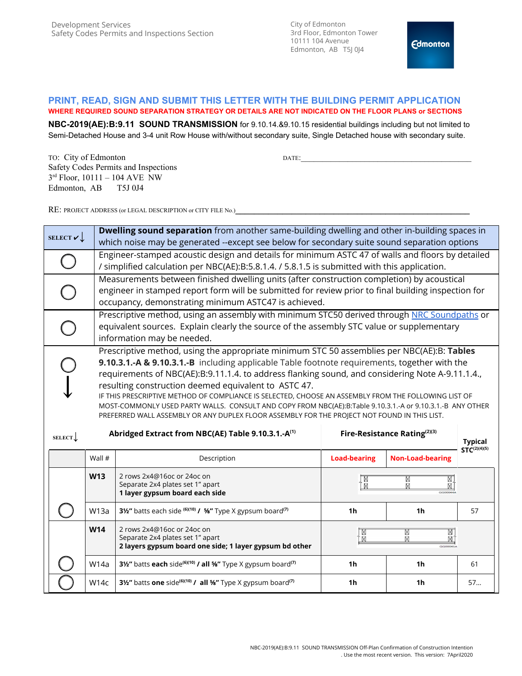City of Edmonton 3rd Floor, Edmonton Tower 10111 104 Avenue Edmonton, AB T5J 0J4

## **PRINT, READ, SIGN AND SUBMIT THIS LETTER WITH THE BUILDING PERMIT APPLICATION WHERE REQUIRED SOUND SEPARATION STRATEGY OR DETAILS ARE NOT INDICATED ON THE FLOOR PLANS or SECTIONS**

**NBC-2019(AE):B:9.11 SOUND TRANSMISSION** for 9.10.14.&9.10.15 residential buildings including but not limited to Semi-Detached House and 3-4 unit Row House with/without secondary suite, Single Detached house with secondary suite.

TO: City of Edmonton DATE: Safety Codes Permits and Inspections 3 rd Floor, 10111 – 104 AVE NW Edmonton, AB T5J 0J4

RE: PROJECT ADDRESS (or LEGAL DESCRIPTION or CITY FILE No.)**\_\_\_\_\_\_\_\_\_\_\_\_\_\_\_\_\_\_\_\_\_\_\_\_\_\_\_\_\_\_\_\_\_\_\_\_\_\_\_\_\_\_\_\_\_\_\_\_\_\_**

| SELECT $\mathbf{v}$ |                                                                                                                                                                                                                                                                                                                                                                                                                                                                                                                                                                                                                                                                                                                                                                                                   | Dwelling sound separation from another same-building dwelling and other in-building spaces in<br>which noise may be generated --except see below for secondary suite sound separation options                                                             |                     |                         |                   |  |  |
|---------------------|---------------------------------------------------------------------------------------------------------------------------------------------------------------------------------------------------------------------------------------------------------------------------------------------------------------------------------------------------------------------------------------------------------------------------------------------------------------------------------------------------------------------------------------------------------------------------------------------------------------------------------------------------------------------------------------------------------------------------------------------------------------------------------------------------|-----------------------------------------------------------------------------------------------------------------------------------------------------------------------------------------------------------------------------------------------------------|---------------------|-------------------------|-------------------|--|--|
|                     |                                                                                                                                                                                                                                                                                                                                                                                                                                                                                                                                                                                                                                                                                                                                                                                                   | Engineer-stamped acoustic design and details for minimum ASTC 47 of walls and floors by detailed<br>/ simplified calculation per NBC(AE):B:5.8.1.4. / 5.8.1.5 is submitted with this application.                                                         |                     |                         |                   |  |  |
|                     |                                                                                                                                                                                                                                                                                                                                                                                                                                                                                                                                                                                                                                                                                                                                                                                                   | Measurements between finished dwelling units (after construction completion) by acoustical<br>engineer in stamped report form will be submitted for review prior to final building inspection for<br>occupancy, demonstrating minimum ASTC47 is achieved. |                     |                         |                   |  |  |
|                     |                                                                                                                                                                                                                                                                                                                                                                                                                                                                                                                                                                                                                                                                                                                                                                                                   | Prescriptive method, using an assembly with minimum STC50 derived through NRC Soundpaths or<br>equivalent sources. Explain clearly the source of the assembly STC value or supplementary<br>information may be needed.                                    |                     |                         |                   |  |  |
| <b>SELECT</b>       | Prescriptive method, using the appropriate minimum STC 50 assemblies per NBC(AE):B: Tables<br>9.10.3.1.-A & 9.10.3.1.-B including applicable Table footnote requirements, together with the<br>requirements of NBC(AE):B:9.11.1.4. to address flanking sound, and considering Note A-9.11.1.4.,<br>resulting construction deemed equivalent to ASTC 47.<br>IF THIS PRESCRIPTIVE METHOD OF COMPLIANCE IS SELECTED, CHOOSE AN ASSEMBLY FROM THE FOLLOWING LIST OF<br>MOST-COMMONLY USED PARTY WALLS. CONSULT AND COPY FROM NBC(AE):B:Table 9.10.3.1.-A or 9.10.3.1.-B ANY OTHER<br>PREFERRED WALL ASSEMBLY OR ANY DUPLEX FLOOR ASSEMBLY FOR THE PROJECT NOT FOUND IN THIS LIST.<br>Abridged Extract from NBC(AE) Table 9.10.3.1.-A <sup>(1)</sup><br>Fire-Resistance Rating(2)(3)<br><b>Typical</b> |                                                                                                                                                                                                                                                           |                     |                         |                   |  |  |
|                     | Wall #                                                                                                                                                                                                                                                                                                                                                                                                                                                                                                                                                                                                                                                                                                                                                                                            | Description                                                                                                                                                                                                                                               | <b>Load-bearing</b> | <b>Non-Load-bearing</b> | $STC^{(2)(4)(5)}$ |  |  |
|                     | <b>W13</b>                                                                                                                                                                                                                                                                                                                                                                                                                                                                                                                                                                                                                                                                                                                                                                                        | 2 rows 2x4@16oc or 24oc on<br>Separate 2x4 plates set 1" apart<br>1 layer gypsum board each side                                                                                                                                                          | N<br>N              | X<br>⊠                  |                   |  |  |
|                     | W <sub>13a</sub>                                                                                                                                                                                                                                                                                                                                                                                                                                                                                                                                                                                                                                                                                                                                                                                  | 31/2" batts each side (6)(10) / 5%" Type X gypsum board <sup>(7)</sup>                                                                                                                                                                                    | 1h                  | 1h                      | 57                |  |  |
|                     | <b>W14</b>                                                                                                                                                                                                                                                                                                                                                                                                                                                                                                                                                                                                                                                                                                                                                                                        | 2 rows 2x4@16oc or 24oc on<br>Separate 2x4 plates set 1" apart<br>2 layers gypsum board one side; 1 layer gypsum bd other                                                                                                                                 | M<br>M              | M<br>Μ                  |                   |  |  |
|                     | W14a                                                                                                                                                                                                                                                                                                                                                                                                                                                                                                                                                                                                                                                                                                                                                                                              | 31/2" batts each side <sup>(6)(10)</sup> / all <sup>5</sup> %" Type X gypsum board <sup>(7)</sup>                                                                                                                                                         | 1 <sub>h</sub>      | 1h                      | 61                |  |  |
|                     | W14c                                                                                                                                                                                                                                                                                                                                                                                                                                                                                                                                                                                                                                                                                                                                                                                              | 31/2" batts one side <sup>(6)(10)</sup> / all <sup>5</sup> %" Type X gypsum board <sup>(7)</sup>                                                                                                                                                          | 1 <sub>h</sub>      | 1h                      | 57                |  |  |